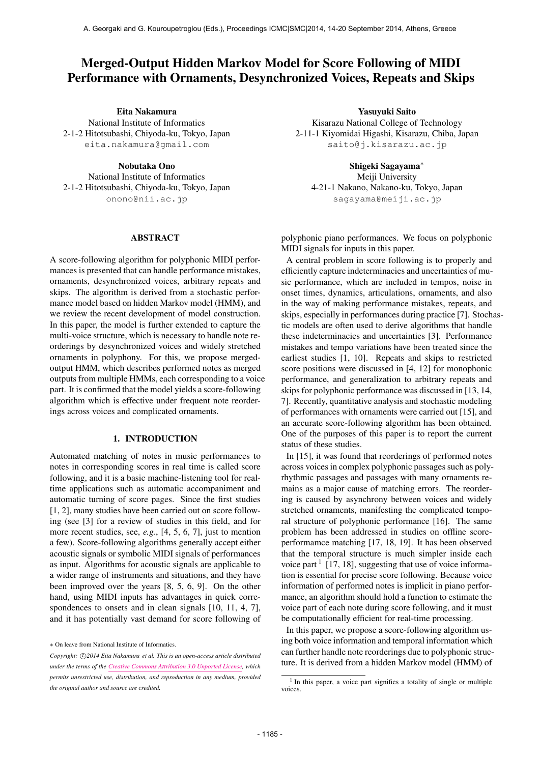# Merged-Output Hidden Markov Model for Score Following of MIDI Performance with Ornaments, Desynchronized Voices, Repeats and Skips

Eita Nakamura National Institute of Informatics 2-1-2 Hitotsubashi, Chiyoda-ku, Tokyo, Japan

[eita.nakamura@gmail.com](mailto:eita.nakamura@gmail.com)

Nobutaka Ono National Institute of Informatics 2-1-2 Hitotsubashi, Chiyoda-ku, Tokyo, Japan [onono@nii.ac.jp](mailto:onono@nii.ac.jp)

# ABSTRACT

A score-following algorithm for polyphonic MIDI performances is presented that can handle performance mistakes, ornaments, desynchronized voices, arbitrary repeats and skips. The algorithm is derived from a stochastic performance model based on hidden Markov model (HMM), and we review the recent development of model construction. In this paper, the model is further extended to capture the multi-voice structure, which is necessary to handle note reorderings by desynchronized voices and widely stretched ornaments in polyphony. For this, we propose mergedoutput HMM, which describes performed notes as merged outputs from multiple HMMs, each corresponding to a voice part. It is confirmed that the model yields a score-following algorithm which is effective under frequent note reorderings across voices and complicated ornaments.

# 1. INTRODUCTION

Automated matching of notes in music performances to notes in corresponding scores in real time is called score following, and it is a basic machine-listening tool for realtime applications such as automatic accompaniment and automatic turning of score pages. Since the first studies [1, 2], many studies have been carried out on score following (see [3] for a review of studies in this field, and for more recent studies, see, *e.g.*, [4, 5, 6, 7], just to mention a few). Score-following algorithms generally accept either acoustic signals or symbolic MIDI signals of performances as input. Algorithms for acoustic signals are applicable to a wider range of instruments and situations, and they have been improved over the years [8, 5, 6, 9]. On the other hand, using MIDI inputs has advantages in quick correspondences to onsets and in clean signals [10, 11, 4, 7], and it has potentially vast demand for score following of

Yasuyuki Saito Kisarazu National College of Technology 2-11-1 Kiyomidai Higashi, Kisarazu, Chiba, Japan [saito@j.kisarazu.ac.jp](mailto:saito@j.kisarazu.ac.jp)

> Shigeki Sagayama*<sup>∗</sup>* Meiji University

4-21-1 Nakano, Nakano-ku, Tokyo, Japan [sagayama@meiji.ac.jp](mailto:sagayama@meiji.ac.jp)

polyphonic piano performances. We focus on polyphonic MIDI signals for inputs in this paper.

A central problem in score following is to properly and efficiently capture indeterminacies and uncertainties of music performance, which are included in tempos, noise in onset times, dynamics, articulations, ornaments, and also in the way of making performance mistakes, repeats, and skips, especially in performances during practice [7]. Stochastic models are often used to derive algorithms that handle these indeterminacies and uncertainties [3]. Performance mistakes and tempo variations have been treated since the earliest studies [1, 10]. Repeats and skips to restricted score positions were discussed in [4, 12] for monophonic performance, and generalization to arbitrary repeats and skips for polyphonic performance was discussed in [13, 14, 7]. Recently, quantitative analysis and stochastic modeling of performances with ornaments were carried out [15], and an accurate score-following algorithm has been obtained. One of the purposes of this paper is to report the current status of these studies.

In [15], it was found that reorderings of performed notes across voices in complex polyphonic passages such as polyrhythmic passages and passages with many ornaments remains as a major cause of matching errors. The reordering is caused by asynchrony between voices and widely stretched ornaments, manifesting the complicated temporal structure of polyphonic performance [16]. The same problem has been addressed in studies on offline scoreperformamce matching [17, 18, 19]. It has been observed that the temporal structure is much simpler inside each voice part  $1$  [17, 18], suggesting that use of voice information is essential for precise score following. Because voice information of performed notes is implicit in piano performance, an algorithm should hold a function to estimate the voice part of each note during score following, and it must be computationally efficient for real-time processing.

In this paper, we propose a score-following algorithm using both voice information and temporal information which can further handle note reorderings due to polyphonic structure. It is derived from a hidden Markov model (HMM) of

*<sup>∗</sup>* On leave from National Institute of Informatics.

*Copyright: ⃝*c *2014 Eita Nakamura et al. This is an open-access article distributed under the terms of the [Creative Commons Attribution 3.0 Unported License](http://creativecommons.org/licenses/by/3.0/), which permits unrestricted use, distribution, and reproduction in any medium, provided the original author and source are credited.*

<sup>&</sup>lt;sup>1</sup> In this paper, a voice part signifies a totality of single or multiple voices.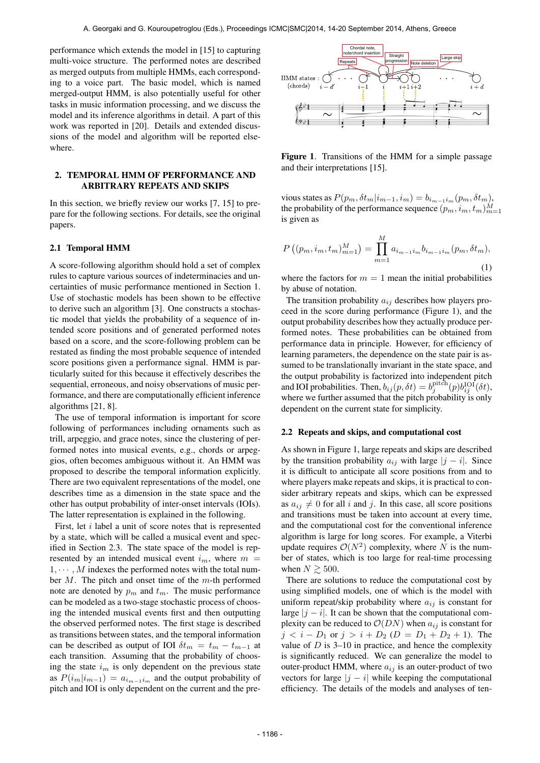performance which extends the model in [15] to capturing multi-voice structure. The performed notes are described as merged outputs from multiple HMMs, each corresponding to a voice part. The basic model, which is named merged-output HMM, is also potentially useful for other tasks in music information processing, and we discuss the model and its inference algorithms in detail. A part of this work was reported in [20]. Details and extended discussions of the model and algorithm will be reported elsewhere.

# 2. TEMPORAL HMM OF PERFORMANCE AND ARBITRARY REPEATS AND SKIPS

In this section, we briefly review our works [7, 15] to prepare for the following sections. For details, see the original papers.

#### 2.1 Temporal HMM

A score-following algorithm should hold a set of complex rules to capture various sources of indeterminacies and uncertainties of music performance mentioned in Section 1. Use of stochastic models has been shown to be effective to derive such an algorithm [3]. One constructs a stochastic model that yields the probability of a sequence of intended score positions and of generated performed notes based on a score, and the score-following problem can be restated as finding the most probable sequence of intended score positions given a performance signal. HMM is particularly suited for this because it effectively describes the sequential, erroneous, and noisy observations of music performance, and there are computationally efficient inference algorithms [21, 8].

The use of temporal information is important for score following of performances including ornaments such as trill, arpeggio, and grace notes, since the clustering of performed notes into musical events, e.g., chords or arpeggios, often becomes ambiguous without it. An HMM was proposed to describe the temporal information explicitly. There are two equivalent representations of the model, one describes time as a dimension in the state space and the other has output probability of inter-onset intervals (IOIs). The latter representation is explained in the following.

First, let *i* label a unit of score notes that is represented by a state, which will be called a musical event and specified in Section 2.3. The state space of the model is represented by an intended musical event  $i_m$ , where  $m =$  $1, \cdots, M$  indexes the performed notes with the total number *M*. The pitch and onset time of the *m*-th performed note are denoted by  $p_m$  and  $t_m$ . The music performance can be modeled as a two-stage stochastic process of choosing the intended musical events first and then outputting the observed performed notes. The first stage is described as transitions between states, and the temporal information can be described as output of IOI  $\delta t_m = t_m - t_{m-1}$  at each transition. Assuming that the probability of choosing the state *i<sup>m</sup>* is only dependent on the previous state as  $P(i_m|i_{m-1}) = a_{i_{m-1}i_m}$  and the output probability of pitch and IOI is only dependent on the current and the pre-



Figure 1. Transitions of the HMM for a simple passage and their interpretations [15].

 $\text{vious states as } P(p_m, \delta t_m | i_{m-1}, i_m) = b_{i_{m-1}i_m}(p_m, \delta t_m),$ the probability of the performance sequence  $(p_m, i_m, t_m)_{m=1}^M$ is given as

$$
P((p_m, i_m, t_m)_{m=1}^M) = \prod_{m=1}^M a_{i_{m-1}i_m} b_{i_{m-1}i_m} (p_m, \delta t_m),
$$
\n(1)

where the factors for  $m = 1$  mean the initial probabilities by abuse of notation.

The transition probability *aij* describes how players proceed in the score during performance (Figure 1), and the output probability describes how they actually produce performed notes. These probabilities can be obtained from performance data in principle. However, for efficiency of learning parameters, the dependence on the state pair is assumed to be translationally invariant in the state space, and the output probability is factorized into independent pitch and IOI probabilities. Then,  $b_{ij}(p, \delta t) = b_j^{\text{pitch}}(p) b_{ij}^{\text{IOI}}(\delta t)$ , where we further assumed that the pitch probability is only dependent on the current state for simplicity.

#### 2.2 Repeats and skips, and computational cost

As shown in Figure 1, large repeats and skips are described by the transition probability  $a_{ij}$  with large  $|j - i|$ . Since it is difficult to anticipate all score positions from and to where players make repeats and skips, it is practical to consider arbitrary repeats and skips, which can be expressed as  $a_{ij} \neq 0$  for all *i* and *j*. In this case, all score positions and transitions must be taken into account at every time, and the computational cost for the conventional inference algorithm is large for long scores. For example, a Viterbi update requires  $O(N^2)$  complexity, where *N* is the number of states, which is too large for real-time processing when  $N \gtrsim 500$ .

There are solutions to reduce the computational cost by using simplified models, one of which is the model with uniform repeat/skip probability where  $a_{ij}$  is constant for large  $|j - i|$ . It can be shown that the computational complexity can be reduced to  $\mathcal{O}(DN)$  when  $a_{ij}$  is constant for  $j < i - D_1$  or  $j > i + D_2$  ( $D = D_1 + D_2 + 1$ ). The value of  $D$  is 3–10 in practice, and hence the complexity is significantly reduced. We can generalize the model to outer-product HMM, where *aij* is an outer-product of two vectors for large  $|j - i|$  while keeping the computational efficiency. The details of the models and analyses of ten-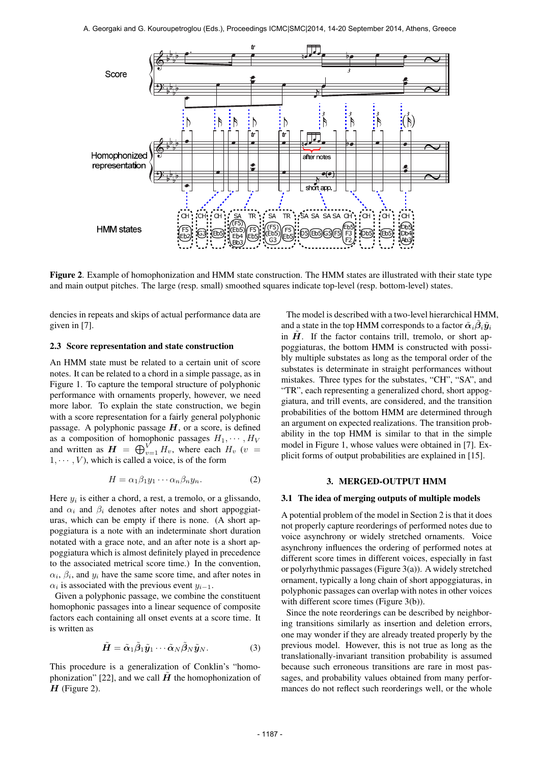

Figure 2. Example of homophonization and HMM state construction. The HMM states are illustrated with their state type and main output pitches. The large (resp. small) smoothed squares indicate top-level (resp. bottom-level) states.

dencies in repeats and skips of actual performance data are given in [7].

# 2.3 Score representation and state construction

An HMM state must be related to a certain unit of score notes. It can be related to a chord in a simple passage, as in Figure 1. To capture the temporal structure of polyphonic performance with ornaments properly, however, we need more labor. To explain the state construction, we begin with a score representation for a fairly general polyphonic passage. A polyphonic passage *H*, or a score, is defined as a composition of homophonic passages  $H_1, \cdots, H_V$ and written as  $\boldsymbol{H} = \bigoplus_{v=1}^{V} H_v$ , where each  $H_v$  (*v* =  $1, \dots, V$ , which is called a voice, is of the form

$$
H = \alpha_1 \beta_1 y_1 \cdots \alpha_n \beta_n y_n. \tag{2}
$$

Here *y<sup>i</sup>* is either a chord, a rest, a tremolo, or a glissando, and  $\alpha_i$  and  $\beta_i$  denotes after notes and short appoggiaturas, which can be empty if there is none. (A short appoggiatura is a note with an indeterminate short duration notated with a grace note, and an after note is a short appoggiatura which is almost definitely played in precedence to the associated metrical score time.) In the convention,  $\alpha_i$ ,  $\beta_i$ , and  $y_i$  have the same score time, and after notes in  $\alpha_i$  is associated with the previous event  $y_{i-1}$ .

Given a polyphonic passage, we combine the constituent homophonic passages into a linear sequence of composite factors each containing all onset events at a score time. It is written as

$$
\tilde{\boldsymbol{H}} = \tilde{\boldsymbol{\alpha}}_1 \tilde{\boldsymbol{\beta}}_1 \tilde{\boldsymbol{y}}_1 \cdots \tilde{\boldsymbol{\alpha}}_N \tilde{\boldsymbol{\beta}}_N \tilde{\boldsymbol{y}}_N. \tag{3}
$$

This procedure is a generalization of Conklin's "homophonization" [22], and we call  $\hat{H}$  the homophonization of *H* (Figure 2).

The model is described with a two-level hierarchical HMM, and a state in the top HMM corresponds to a factor  $\tilde{\boldsymbol{\alpha}}_i\tilde{\boldsymbol{\beta}}_i\tilde{\boldsymbol{y}}_i$ in  $\hat{H}$ . If the factor contains trill, tremolo, or short appoggiaturas, the bottom HMM is constructed with possibly multiple substates as long as the temporal order of the substates is determinate in straight performances without mistakes. Three types for the substates, "CH", "SA", and "TR", each representing a generalized chord, short appoggiatura, and trill events, are considered, and the transition probabilities of the bottom HMM are determined through an argument on expected realizations. The transition probability in the top HMM is similar to that in the simple model in Figure 1, whose values were obtained in [7]. Explicit forms of output probabilities are explained in [15].

# 3. MERGED-OUTPUT HMM

# 3.1 The idea of merging outputs of multiple models

A potential problem of the model in Section 2 is that it does not properly capture reorderings of performed notes due to voice asynchrony or widely stretched ornaments. Voice asynchrony influences the ordering of performed notes at different score times in different voices, especially in fast or polyrhythmic passages (Figure 3(a)). A widely stretched ornament, typically a long chain of short appoggiaturas, in polyphonic passages can overlap with notes in other voices with different score times (Figure 3(b)).

Since the note reorderings can be described by neighboring transitions similarly as insertion and deletion errors, one may wonder if they are already treated properly by the previous model. However, this is not true as long as the translationally-invariant transition probability is assumed because such erroneous transitions are rare in most passages, and probability values obtained from many performances do not reflect such reorderings well, or the whole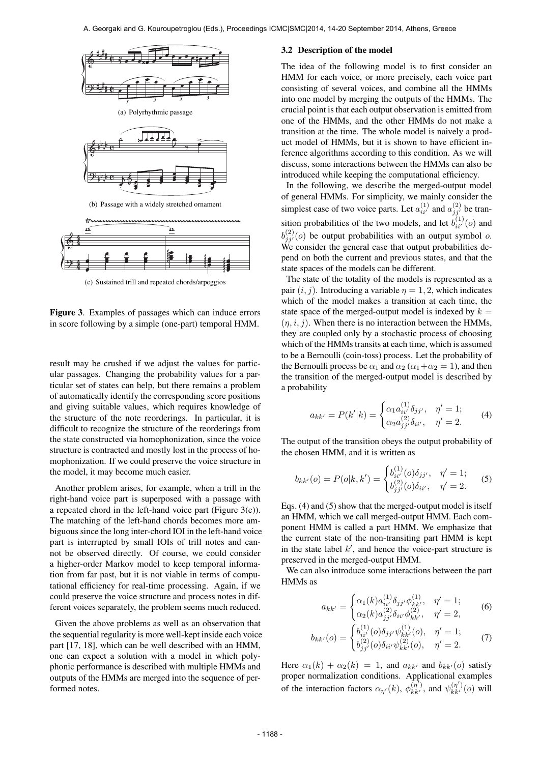

(c) Sustained trill and repeated chords/arpeggios

Figure 3. Examples of passages which can induce errors in score following by a simple (one-part) temporal HMM.

result may be crushed if we adjust the values for particular passages. Changing the probability values for a particular set of states can help, but there remains a problem of automatically identify the corresponding score positions and giving suitable values, which requires knowledge of the structure of the note reorderings. In particular, it is difficult to recognize the structure of the reorderings from the state constructed via homophonization, since the voice structure is contracted and mostly lost in the process of homophonization. If we could preserve the voice structure in the model, it may become much easier.

Another problem arises, for example, when a trill in the right-hand voice part is superposed with a passage with a repeated chord in the left-hand voice part (Figure 3(c)). The matching of the left-hand chords becomes more ambiguous since the long inter-chord IOI in the left-hand voice part is interrupted by small IOIs of trill notes and cannot be observed directly. Of course, we could consider a higher-order Markov model to keep temporal information from far past, but it is not viable in terms of computational efficiency for real-time processing. Again, if we could preserve the voice structure and process notes in different voices separately, the problem seems much reduced.

Given the above problems as well as an observation that the sequential regularity is more well-kept inside each voice part [17, 18], which can be well described with an HMM, one can expect a solution with a model in which polyphonic performance is described with multiple HMMs and outputs of the HMMs are merged into the sequence of performed notes.

#### 3.2 Description of the model

The idea of the following model is to first consider an HMM for each voice, or more precisely, each voice part consisting of several voices, and combine all the HMMs into one model by merging the outputs of the HMMs. The crucial point is that each output observation is emitted from one of the HMMs, and the other HMMs do not make a transition at the time. The whole model is naively a product model of HMMs, but it is shown to have efficient inference algorithms according to this condition. As we will discuss, some interactions between the HMMs can also be introduced while keeping the computational efficiency.

In the following, we describe the merged-output model of general HMMs. For simplicity, we mainly consider the simplest case of two voice parts. Let  $a_{ii'}^{(1)}$  and  $a_{jj'}^{(2)}$  be transition probabilities of the two models, and let  $b_{ii'}^{(1)}(o)$  and  $b_{j j'}^{(2)}(o)$  be output probabilities with an output symbol *o*. We consider the general case that output probabilities depend on both the current and previous states, and that the state spaces of the models can be different.

The state of the totality of the models is represented as a pair  $(i, j)$ . Introducing a variable  $\eta = 1, 2$ , which indicates which of the model makes a transition at each time, the state space of the merged-output model is indexed by  $k =$  $(\eta, i, j)$ . When there is no interaction between the HMMs, they are coupled only by a stochastic process of choosing which of the HMMs transits at each time, which is assumed to be a Bernoulli (coin-toss) process. Let the probability of the Bernoulli process be  $\alpha_1$  and  $\alpha_2$  ( $\alpha_1 + \alpha_2 = 1$ ), and then the transition of the merged-output model is described by a probability

$$
a_{kk'} = P(k'|k) = \begin{cases} \alpha_1 a_{ii'}^{(1)} \delta_{jj'}, & \eta' = 1; \\ \alpha_2 a_{jj'}^{(2)} \delta_{ii'}, & \eta' = 2. \end{cases}
$$
 (4)

The output of the transition obeys the output probability of the chosen HMM, and it is written as

$$
b_{kk'}(o) = P(o|k, k') = \begin{cases} b_{ii'}^{(1)}(o)\delta_{jj'}, & \eta' = 1; \\ b_{jj'}^{(2)}(o)\delta_{ii'}, & \eta' = 2. \end{cases}
$$
 (5)

Eqs. (4) and (5) show that the merged-output model is itself an HMM, which we call merged-output HMM. Each component HMM is called a part HMM. We emphasize that the current state of the non-transiting part HMM is kept in the state label *k ′* , and hence the voice-part structure is preserved in the merged-output HMM.

We can also introduce some interactions between the part HMMs as

$$
a_{kk'} = \begin{cases} \alpha_1(k)a_{ii'}^{(1)}\delta_{jj'}\phi_{kk'}^{(1)}, & \eta' = 1; \\ \alpha_2(k)a_{jj'}^{(2)}\delta_{ii'}\phi_{kk'}^{(2)}, & \eta' = 2, \end{cases}
$$
 (6)

$$
b_{kk'}(o) = \begin{cases} b_{ii'}^{(1)}(o)\delta_{jj'}\psi_{kk'}^{(1)}(o), & \eta' = 1; \\ b_{jj'}^{(2)}(o)\delta_{ii'}\psi_{kk'}^{(2)}(o), & \eta' = 2. \end{cases}
$$
(7)

Here  $\alpha_1(k) + \alpha_2(k) = 1$ , and  $a_{kk'}$  and  $b_{kk'}(o)$  satisfy proper normalization conditions. Applicational examples of the interaction factors  $\alpha_{\eta'}(k)$ ,  $\phi_{kk'}^{(\eta')}$ , and  $\psi_{kk'}^{(\eta')}(\rho)$  will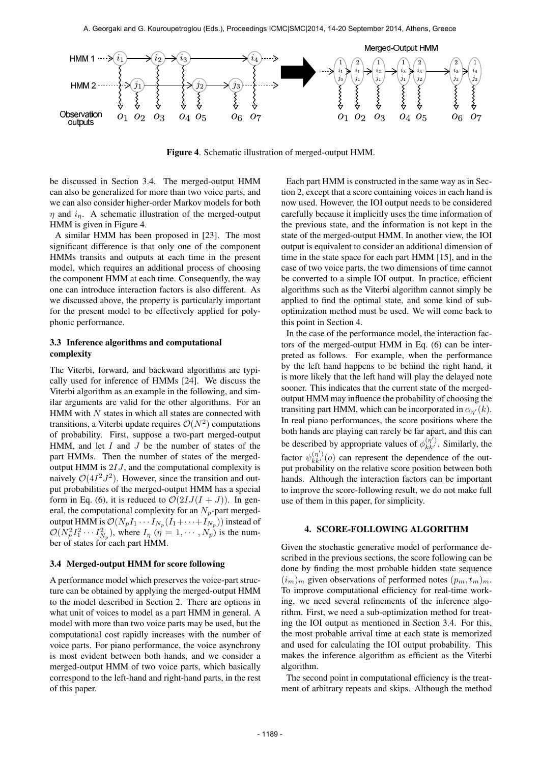

Figure 4. Schematic illustration of merged-output HMM.

be discussed in Section 3.4. The merged-output HMM can also be generalized for more than two voice parts, and we can also consider higher-order Markov models for both *η* and *iη*. A schematic illustration of the merged-output HMM is given in Figure 4.

A similar HMM has been proposed in [23]. The most significant difference is that only one of the component HMMs transits and outputs at each time in the present model, which requires an additional process of choosing the component HMM at each time. Consequently, the way one can introduce interaction factors is also different. As we discussed above, the property is particularly important for the present model to be effectively applied for polyphonic performance.

# 3.3 Inference algorithms and computational complexity

The Viterbi, forward, and backward algorithms are typically used for inference of HMMs [24]. We discuss the Viterbi algorithm as an example in the following, and similar arguments are valid for the other algorithms. For an HMM with *N* states in which all states are connected with transitions, a Viterbi update requires  $\mathcal{O}(N^2)$  computations of probability. First, suppose a two-part merged-output HMM, and let *I* and *J* be the number of states of the part HMMs. Then the number of states of the mergedoutput HMM is 2*IJ*, and the computational complexity is naively  $O(4I^2J^2)$ . However, since the transition and output probabilities of the merged-output HMM has a special form in Eq. (6), it is reduced to  $\mathcal{O}(2IJ(I+J))$ . In general, the computational complexity for an  $N_p$ -part mergedoutput HMM is  $\mathcal{O}(N_pI_1\cdots I_{N_p}(I_1+\cdots+I_{N_p}))$  instead of  $\mathcal{O}(N_p^2 I_1^2 \cdots I_{N_p}^2)$ , where  $I_\eta$  ( $\eta = 1, \cdots, N_p$ ) is the number of states for each part HMM.

# 3.4 Merged-output HMM for score following

A performance model which preserves the voice-part structure can be obtained by applying the merged-output HMM to the model described in Section 2. There are options in what unit of voices to model as a part HMM in general. A model with more than two voice parts may be used, but the computational cost rapidly increases with the number of voice parts. For piano performance, the voice asynchrony is most evident between both hands, and we consider a merged-output HMM of two voice parts, which basically correspond to the left-hand and right-hand parts, in the rest of this paper.

Each part HMM is constructed in the same way as in Section 2, except that a score containing voices in each hand is now used. However, the IOI output needs to be considered carefully because it implicitly uses the time information of the previous state, and the information is not kept in the state of the merged-output HMM. In another view, the IOI output is equivalent to consider an additional dimension of time in the state space for each part HMM [15], and in the case of two voice parts, the two dimensions of time cannot be converted to a simple IOI output. In practice, efficient algorithms such as the Viterbi algorithm cannot simply be applied to find the optimal state, and some kind of suboptimization method must be used. We will come back to this point in Section 4.

In the case of the performance model, the interaction factors of the merged-output HMM in Eq. (6) can be interpreted as follows. For example, when the performance by the left hand happens to be behind the right hand, it is more likely that the left hand will play the delayed note sooner. This indicates that the current state of the mergedoutput HMM may influence the probability of choosing the transiting part HMM, which can be incorporated in  $\alpha_{n'}(k)$ . In real piano performances, the score positions where the both hands are playing can rarely be far apart, and this can be described by appropriate values of  $\phi_{kk'}^{(\eta')}$ . Similarly, the factor  $\psi_{kk'}^{(\eta')}(o)$  can represent the dependence of the output probability on the relative score position between both hands. Although the interaction factors can be important to improve the score-following result, we do not make full use of them in this paper, for simplicity.

# 4. SCORE-FOLLOWING ALGORITHM

Given the stochastic generative model of performance described in the previous sections, the score following can be done by finding the most probable hidden state sequence  $(i_m)_m$  given observations of performed notes  $(p_m, t_m)_m$ . To improve computational efficiency for real-time working, we need several refinements of the inference algorithm. First, we need a sub-optimization method for treating the IOI output as mentioned in Section 3.4. For this, the most probable arrival time at each state is memorized and used for calculating the IOI output probability. This makes the inference algorithm as efficient as the Viterbi algorithm.

The second point in computational efficiency is the treatment of arbitrary repeats and skips. Although the method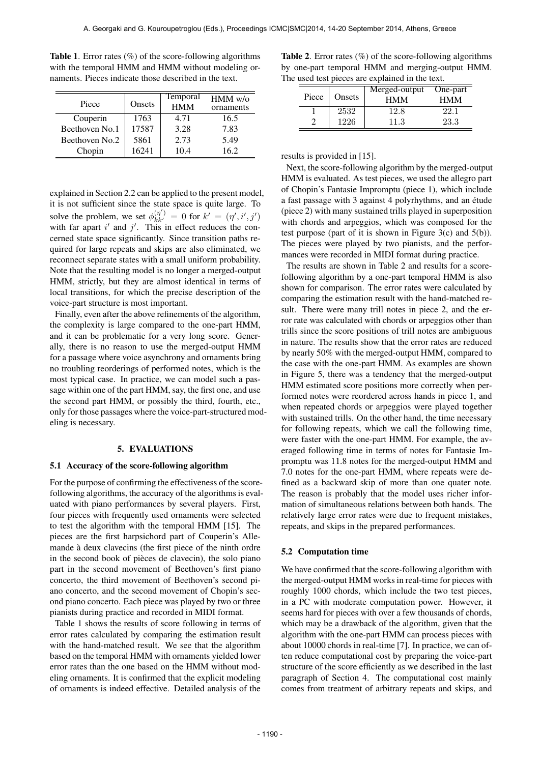| Piece          | Onsets | Temporal<br><b>HMM</b> | $HMM$ w/o<br>ornaments |
|----------------|--------|------------------------|------------------------|
| Couperin       | 1763   | 4.71                   | 16.5                   |
| Beethoven No.1 | 17587  | 3.28                   | 7.83                   |
| Beethoven No.2 | 5861   | 2.73                   | 5.49                   |
| Chopin         | 16241  | 10.4                   | 16.2                   |

**Table 1.** Error rates  $(\%)$  of the score-following algorithms with the temporal HMM and HMM without modeling ornaments. Pieces indicate those described in the text.

explained in Section 2.2 can be applied to the present model, it is not sufficient since the state space is quite large. To solve the problem, we set  $\phi_{kk'}^{(\eta')} = 0$  for  $k' = (\eta', i', j')$ with far apart  $i'$  and  $j'$ . This in effect reduces the concerned state space significantly. Since transition paths required for large repeats and skips are also eliminated, we reconnect separate states with a small uniform probability. Note that the resulting model is no longer a merged-output HMM, strictly, but they are almost identical in terms of local transitions, for which the precise description of the voice-part structure is most important.

Finally, even after the above refinements of the algorithm, the complexity is large compared to the one-part HMM, and it can be problematic for a very long score. Generally, there is no reason to use the merged-output HMM for a passage where voice asynchrony and ornaments bring no troubling reorderings of performed notes, which is the most typical case. In practice, we can model such a passage within one of the part HMM, say, the first one, and use the second part HMM, or possibly the third, fourth, etc., only for those passages where the voice-part-structured modeling is necessary.

#### 5. EVALUATIONS

### 5.1 Accuracy of the score-following algorithm

For the purpose of confirming the effectiveness of the scorefollowing algorithms, the accuracy of the algorithms is evaluated with piano performances by several players. First, four pieces with frequently used ornaments were selected to test the algorithm with the temporal HMM [15]. The pieces are the first harpsichord part of Couperin's Allemande à deux clavecins (the first piece of the ninth ordre in the second book of pièces de clavecin), the solo piano part in the second movement of Beethoven's first piano concerto, the third movement of Beethoven's second piano concerto, and the second movement of Chopin's second piano concerto. Each piece was played by two or three pianists during practice and recorded in MIDI format.

Table 1 shows the results of score following in terms of error rates calculated by comparing the estimation result with the hand-matched result. We see that the algorithm based on the temporal HMM with ornaments yielded lower error rates than the one based on the HMM without modeling ornaments. It is confirmed that the explicit modeling of ornaments is indeed effective. Detailed analysis of the

| <b>Table 2.</b> Error rates $(\%)$ of the score-following algorithms |  |
|----------------------------------------------------------------------|--|
| by one-part temporal HMM and merging-output HMM.                     |  |
| The used test pieces are explained in the text.                      |  |

| Piece | Onsets | Merged-output<br><b>HMM</b> | One-part<br><b>HMM</b> |
|-------|--------|-----------------------------|------------------------|
|       | 2532   | 12.8                        | 22.1                   |
|       | 1226   | 11.3                        | 23.3                   |

results is provided in [15].

Next, the score-following algorithm by the merged-output HMM is evaluated. As test pieces, we used the allegro part of Chopin's Fantasie Impromptu (piece 1), which include a fast passage with 3 against 4 polyrhythms, and an étude (piece 2) with many sustained trills played in superposition with chords and arpeggios, which was composed for the test purpose (part of it is shown in Figure 3(c) and  $5(b)$ ). The pieces were played by two pianists, and the performances were recorded in MIDI format during practice.

The results are shown in Table 2 and results for a scorefollowing algorithm by a one-part temporal HMM is also shown for comparison. The error rates were calculated by comparing the estimation result with the hand-matched result. There were many trill notes in piece 2, and the error rate was calculated with chords or arpeggios other than trills since the score positions of trill notes are ambiguous in nature. The results show that the error rates are reduced by nearly 50% with the merged-output HMM, compared to the case with the one-part HMM. As examples are shown in Figure 5, there was a tendency that the merged-output HMM estimated score positions more correctly when performed notes were reordered across hands in piece 1, and when repeated chords or arpeggios were played together with sustained trills. On the other hand, the time necessary for following repeats, which we call the following time, were faster with the one-part HMM. For example, the averaged following time in terms of notes for Fantasie Impromptu was 11.8 notes for the merged-output HMM and 7.0 notes for the one-part HMM, where repeats were defined as a backward skip of more than one quater note. The reason is probably that the model uses richer information of simultaneous relations between both hands. The relatively large error rates were due to frequent mistakes, repeats, and skips in the prepared performances.

#### 5.2 Computation time

We have confirmed that the score-following algorithm with the merged-output HMM works in real-time for pieces with roughly 1000 chords, which include the two test pieces, in a PC with moderate computation power. However, it seems hard for pieces with over a few thousands of chords, which may be a drawback of the algorithm, given that the algorithm with the one-part HMM can process pieces with about 10000 chords in real-time [7]. In practice, we can often reduce computational cost by preparing the voice-part structure of the score efficiently as we described in the last paragraph of Section 4. The computational cost mainly comes from treatment of arbitrary repeats and skips, and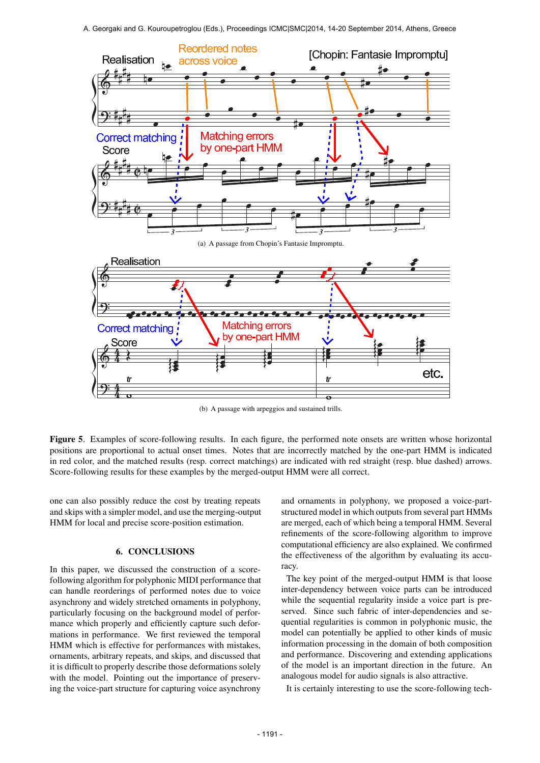

(b) A passage with arpeggios and sustained trills.

Figure 5. Examples of score-following results. In each figure, the performed note onsets are written whose horizontal positions are proportional to actual onset times. Notes that are incorrectly matched by the one-part HMM is indicated in red color, and the matched results (resp. correct matchings) are indicated with red straight (resp. blue dashed) arrows. Score-following results for these examples by the merged-output HMM were all correct.

one can also possibly reduce the cost by treating repeats and skips with a simpler model, and use the merging-output HMM for local and precise score-position estimation.

# 6. CONCLUSIONS

In this paper, we discussed the construction of a scorefollowing algorithm for polyphonic MIDI performance that can handle reorderings of performed notes due to voice asynchrony and widely stretched ornaments in polyphony, particularly focusing on the background model of performance which properly and efficiently capture such deformations in performance. We first reviewed the temporal HMM which is effective for performances with mistakes, ornaments, arbitrary repeats, and skips, and discussed that it is difficult to properly describe those deformations solely with the model. Pointing out the importance of preserving the voice-part structure for capturing voice asynchrony

and ornaments in polyphony, we proposed a voice-partstructured model in which outputs from several part HMMs are merged, each of which being a temporal HMM. Several refinements of the score-following algorithm to improve computational efficiency are also explained. We confirmed the effectiveness of the algorithm by evaluating its accuracy.

The key point of the merged-output HMM is that loose inter-dependency between voice parts can be introduced while the sequential regularity inside a voice part is preserved. Since such fabric of inter-dependencies and sequential regularities is common in polyphonic music, the model can potentially be applied to other kinds of music information processing in the domain of both composition and performance. Discovering and extending applications of the model is an important direction in the future. An analogous model for audio signals is also attractive.

It is certainly interesting to use the score-following tech-